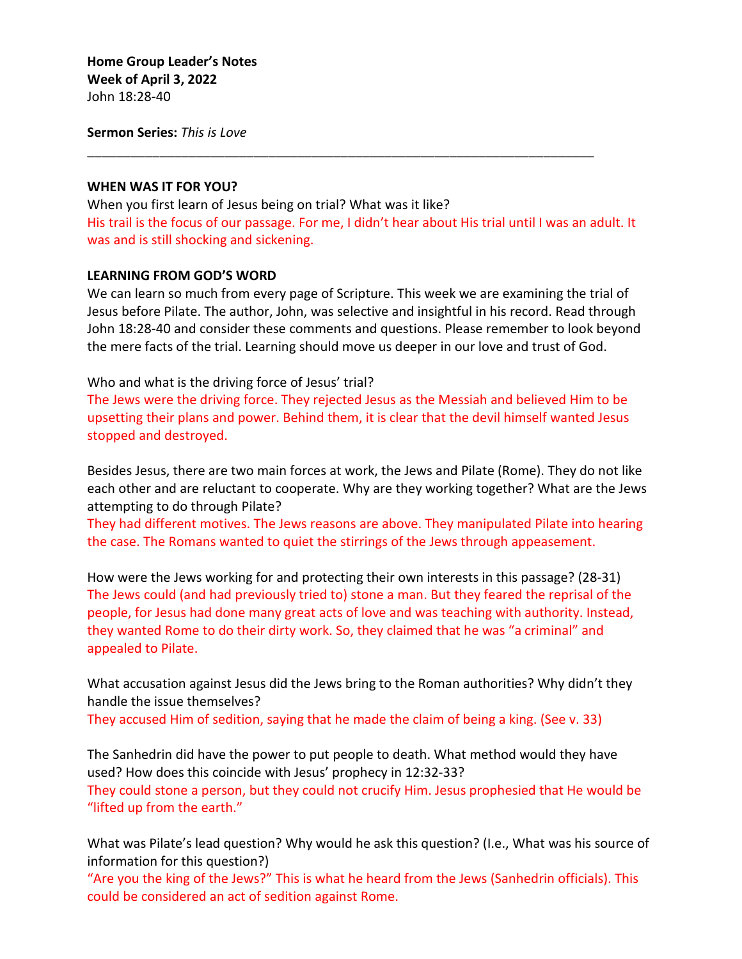**Sermon Series:** *This is Love*

#### **WHEN WAS IT FOR YOU?**

When you first learn of Jesus being on trial? What was it like? His trail is the focus of our passage. For me, I didn't hear about His trial until I was an adult. It was and is still shocking and sickening.

\_\_\_\_\_\_\_\_\_\_\_\_\_\_\_\_\_\_\_\_\_\_\_\_\_\_\_\_\_\_\_\_\_\_\_\_\_\_\_\_\_\_\_\_\_\_\_\_\_\_\_\_\_\_\_\_\_\_\_\_\_\_\_\_\_\_\_\_\_\_

#### **LEARNING FROM GOD'S WORD**

We can learn so much from every page of Scripture. This week we are examining the trial of Jesus before Pilate. The author, John, was selective and insightful in his record. Read through John 18:28-40 and consider these comments and questions. Please remember to look beyond the mere facts of the trial. Learning should move us deeper in our love and trust of God.

Who and what is the driving force of Jesus' trial?

The Jews were the driving force. They rejected Jesus as the Messiah and believed Him to be upsetting their plans and power. Behind them, it is clear that the devil himself wanted Jesus stopped and destroyed.

Besides Jesus, there are two main forces at work, the Jews and Pilate (Rome). They do not like each other and are reluctant to cooperate. Why are they working together? What are the Jews attempting to do through Pilate?

They had different motives. The Jews reasons are above. They manipulated Pilate into hearing the case. The Romans wanted to quiet the stirrings of the Jews through appeasement.

How were the Jews working for and protecting their own interests in this passage? (28-31) The Jews could (and had previously tried to) stone a man. But they feared the reprisal of the people, for Jesus had done many great acts of love and was teaching with authority. Instead, they wanted Rome to do their dirty work. So, they claimed that he was "a criminal" and appealed to Pilate.

What accusation against Jesus did the Jews bring to the Roman authorities? Why didn't they handle the issue themselves?

They accused Him of sedition, saying that he made the claim of being a king. (See v. 33)

The Sanhedrin did have the power to put people to death. What method would they have used? How does this coincide with Jesus' prophecy in 12:32-33? They could stone a person, but they could not crucify Him. Jesus prophesied that He would be "lifted up from the earth."

What was Pilate's lead question? Why would he ask this question? (I.e., What was his source of information for this question?)

"Are you the king of the Jews?" This is what he heard from the Jews (Sanhedrin officials). This could be considered an act of sedition against Rome.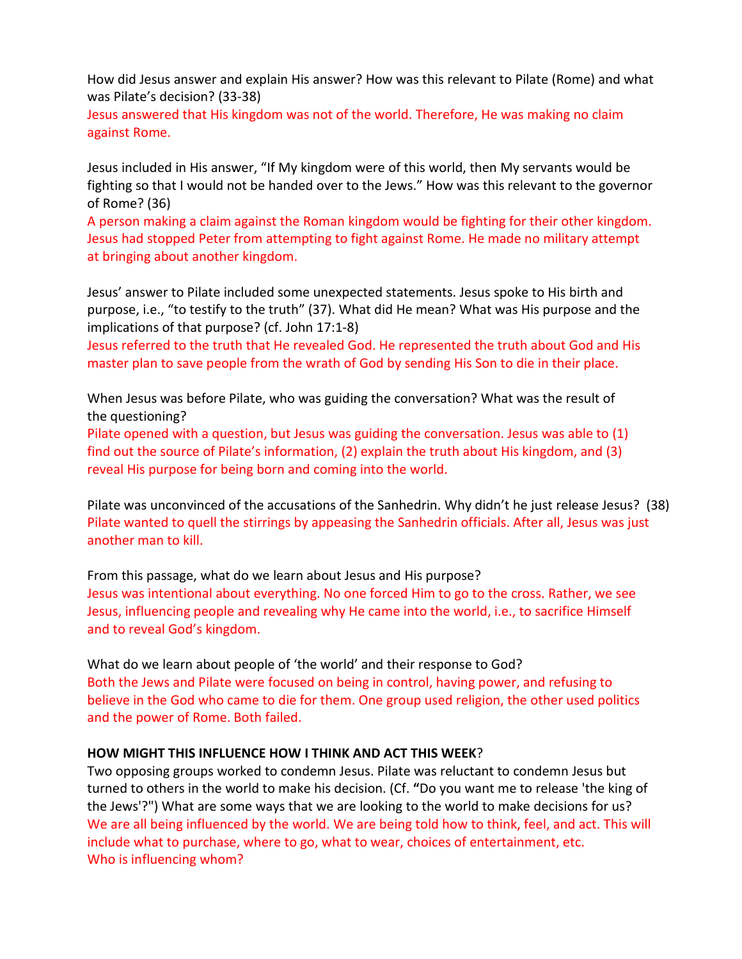How did Jesus answer and explain His answer? How was this relevant to Pilate (Rome) and what was Pilate's decision? (33-38)

Jesus answered that His kingdom was not of the world. Therefore, He was making no claim against Rome.

Jesus included in His answer, "If My kingdom were of this world, then My servants would be fighting so that I would not be handed over to the Jews." How was this relevant to the governor of Rome? (36)

A person making a claim against the Roman kingdom would be fighting for their other kingdom. Jesus had stopped Peter from attempting to fight against Rome. He made no military attempt at bringing about another kingdom.

Jesus' answer to Pilate included some unexpected statements. Jesus spoke to His birth and purpose, i.e., "to testify to the truth" (37). What did He mean? What was His purpose and the implications of that purpose? (cf. John 17:1-8)

Jesus referred to the truth that He revealed God. He represented the truth about God and His master plan to save people from the wrath of God by sending His Son to die in their place.

When Jesus was before Pilate, who was guiding the conversation? What was the result of the questioning?

Pilate opened with a question, but Jesus was guiding the conversation. Jesus was able to (1) find out the source of Pilate's information, (2) explain the truth about His kingdom, and (3) reveal His purpose for being born and coming into the world.

Pilate was unconvinced of the accusations of the Sanhedrin. Why didn't he just release Jesus? (38) Pilate wanted to quell the stirrings by appeasing the Sanhedrin officials. After all, Jesus was just another man to kill.

From this passage, what do we learn about Jesus and His purpose? Jesus was intentional about everything. No one forced Him to go to the cross. Rather, we see Jesus, influencing people and revealing why He came into the world, i.e., to sacrifice Himself and to reveal God's kingdom.

What do we learn about people of 'the world' and their response to God? Both the Jews and Pilate were focused on being in control, having power, and refusing to believe in the God who came to die for them. One group used religion, the other used politics and the power of Rome. Both failed.

# **HOW MIGHT THIS INFLUENCE HOW I THINK AND ACT THIS WEEK**?

Two opposing groups worked to condemn Jesus. Pilate was reluctant to condemn Jesus but turned to others in the world to make his decision. (Cf. **"**Do you want me to release 'the king of the Jews'?") What are some ways that we are looking to the world to make decisions for us? We are all being influenced by the world. We are being told how to think, feel, and act. This will include what to purchase, where to go, what to wear, choices of entertainment, etc. Who is influencing whom?